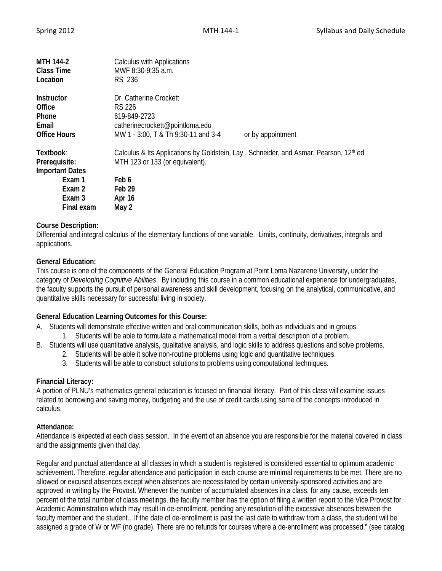| MTH 144-2<br><b>Class Time</b><br>Location                                                       | <b>Calculus with Applications</b><br>MWF 8:30-9:35 a.m.<br><b>RS 236</b>                                                                                                    |                   |
|--------------------------------------------------------------------------------------------------|-----------------------------------------------------------------------------------------------------------------------------------------------------------------------------|-------------------|
| Instructor<br>Office<br><b>Phone</b><br>Email<br><b>Office Hours</b>                             | Dr. Catherine Crockett<br>RS 226<br>619-849-2723<br>catherinecrockett@pointloma.edu<br>MW 1 - 3:00, T & Th 9:30-11 and 3-4                                                  | or by appointment |
| Textbook:<br>Prerequisite:<br><b>Important Dates</b><br>Exam 1<br>Exam 2<br>Exam 3<br>Final exam | Calculus & Its Applications by Goldstein, Lay, Schneider, and Asmar, Pearson, 12 <sup>th</sup> ed.<br>MTH 123 or 133 (or equivalent).<br>Feb 6<br>Feb 29<br>Apr 16<br>May 2 |                   |

#### **Course Description:**

Differential and integral calculus of the elementary functions of one variable. Limits, continuity, derivatives, integrals and applications.

#### **General Education:**

This course is one of the components of the General Education Program at Point Loma Nazarene University, under the category of *Developing Cognitive Abilities*. By including this course in a common educational experience for undergraduates, the faculty supports the pursuit of personal awareness and skill development, focusing on the analytical, communicative, and quantitative skills necessary for successful living in society.

#### **General Education Learning Outcomes for this Course:**

- A. Students will demonstrate effective written and oral communication skills, both as individuals and in groups.
	- 1. Students will be able to formulate a mathematical model from a verbal description of a problem.
- B. Students will use quantitative analysis, qualitative analysis, and logic skills to address questions and solve problems.
	- 2. Students will be able it solve non-routine problems using logic and quantitative techniques.
	- 3. Students will be able to construct solutions to problems using computational techniques.

#### **Financial Literacy:**

A portion of PLNU's mathematics general education is focused on financial literacy. Part of this class will examine issues related to borrowing and saving money, budgeting and the use of credit cards using some of the concepts introduced in calculus.

#### **Attendance:**

Attendance is expected at each class session. In the event of an absence you are responsible for the material covered in class and the assignments given that day.

Regular and punctual attendance at all classes in which a student is registered is considered essential to optimum academic achievement. Therefore, regular attendance and participation in each course are minimal requirements to be met. There are no allowed or excused absences except when absences are necessitated by certain university-sponsored activities and are approved in writing by the Provost. Whenever the number of accumulated absences in a class, for any cause, exceeds ten percent of the total number of class meetings, the faculty member has the option of filing a written report to the Vice Provost for Academic Administration which may result in de-enrollment, pending any resolution of the excessive absences between the faculty member and the student…If the date of de-enrollment is past the last date to withdraw from a class, the student will be assigned a grade of W or WF (no grade). There are no refunds for courses where a de-enrollment was processed." (see catalog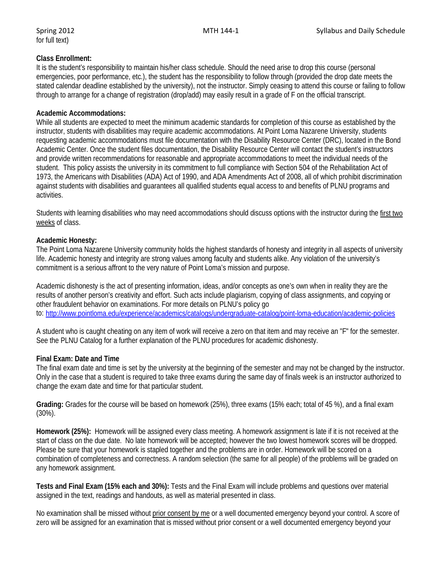# for full text)

# **Class Enrollment:**

It is the student's responsibility to maintain his/her class schedule. Should the need arise to drop this course (personal emergencies, poor performance, etc.), the student has the responsibility to follow through (provided the drop date meets the stated calendar deadline established by the university), not the instructor. Simply ceasing to attend this course or failing to follow through to arrange for a change of registration (drop/add) may easily result in a grade of F on the official transcript.

# **Academic Accommodations:**

While all students are expected to meet the minimum academic standards for completion of this course as established by the instructor, students with disabilities may require academic accommodations. At Point Loma Nazarene University, students requesting academic accommodations must file documentation with the Disability Resource Center (DRC), located in the Bond Academic Center. Once the student files documentation, the Disability Resource Center will contact the student's instructors and provide written recommendations for reasonable and appropriate accommodations to meet the individual needs of the student. This policy assists the university in its commitment to full compliance with Section 504 of the Rehabilitation Act of 1973, the Americans with Disabilities (ADA) Act of 1990, and ADA Amendments Act of 2008, all of which prohibit discrimination against students with disabilities and guarantees all qualified students equal access to and benefits of PLNU programs and activities.

Students with learning disabilities who may need accommodations should discuss options with the instructor during the first two weeks of class.

# **Academic Honesty:**

The Point Loma Nazarene University community holds the highest standards of honesty and integrity in all aspects of university life. Academic honesty and integrity are strong values among faculty and students alike. Any violation of the university's commitment is a serious affront to the very nature of Point Loma's mission and purpose.

Academic dishonesty is the act of presenting information, ideas, and/or concepts as one's own when in reality they are the results of another person's creativity and effort. Such acts include plagiarism, copying of class assignments, and copying or other fraudulent behavior on examinations. For more details on PLNU's policy go to: <http://www.pointloma.edu/experience/academics/catalogs/undergraduate-catalog/point-loma-education/academic-policies>

A student who is caught cheating on any item of work will receive a zero on that item and may receive an "F" for the semester. See the PLNU Catalog for a further explanation of the PLNU procedures for academic dishonesty.

# **Final Exam: Date and Time**

The final exam date and time is set by the university at the beginning of the semester and may not be changed by the instructor. Only in the case that a student is required to take three exams during the same day of finals week is an instructor authorized to change the exam date and time for that particular student.

**Grading:** Grades for the course will be based on homework (25%), three exams (15% each; total of 45 %), and a final exam (30%).

**Homework (25%):** Homework will be assigned every class meeting. A homework assignment is late if it is not received at the start of class on the due date. No late homework will be accepted; however the two lowest homework scores will be dropped. Please be sure that your homework is stapled together and the problems are in order. Homework will be scored on a combination of completeness and correctness. A random selection (the same for all people) of the problems will be graded on any homework assignment.

**Tests and Final Exam (15% each and 30%):** Tests and the Final Exam will include problems and questions over material assigned in the text, readings and handouts, as well as material presented in class.

No examination shall be missed without prior consent by me or a well documented emergency beyond your control. A score of zero will be assigned for an examination that is missed without prior consent or a well documented emergency beyond your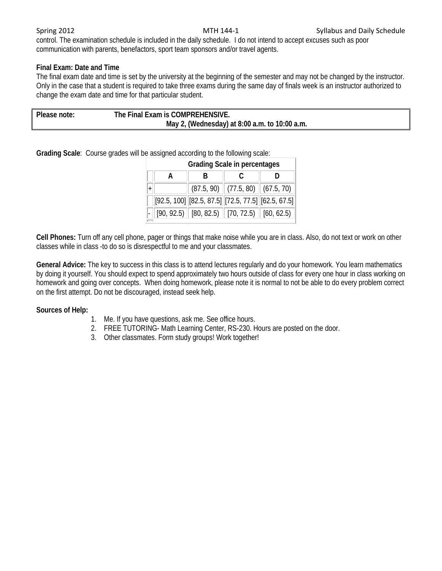control. The examination schedule is included in the daily schedule. I do not intend to accept excuses such as poor communication with parents, benefactors, sport team sponsors and/or travel agents.

### **Final Exam: Date and Time**

The final exam date and time is set by the university at the beginning of the semester and may not be changed by the instructor. Only in the case that a student is required to take three exams during the same day of finals week is an instructor authorized to change the exam date and time for that particular student.

| Please note: | The Final Exam is COMPREHENSIVE.              |
|--------------|-----------------------------------------------|
|              | May 2, (Wednesday) at 8:00 a.m. to 10:00 a.m. |

**Grading Scale**: Course grades will be assigned according to the following scale:

| <b>Grading Scale in percentages</b> |                                                            |                                            |  |  |  |  |  |  |
|-------------------------------------|------------------------------------------------------------|--------------------------------------------|--|--|--|--|--|--|
| A                                   |                                                            |                                            |  |  |  |  |  |  |
|                                     |                                                            | $(87.5, 90)$ $(77.5, 80)$ $(67.5, 70)$ $($ |  |  |  |  |  |  |
|                                     | $[92.5, 100]$ $[82.5, 87.5]$ $[72.5, 77.5]$ $[62.5, 67.5]$ |                                            |  |  |  |  |  |  |
|                                     | $(90, 92.5)$ [80, 82.5)   [70, 72.5)   [60, 62.5)          |                                            |  |  |  |  |  |  |

**Cell Phones:** Turn off any cell phone, pager or things that make noise while you are in class. Also, do not text or work on other classes while in class -to do so is disrespectful to me and your classmates.

**General Advice:** The key to success in this class is to attend lectures regularly and do your homework. You learn mathematics by doing it yourself. You should expect to spend approximately two hours outside of class for every one hour in class working on homework and going over concepts. When doing homework, please note it is normal to not be able to do every problem correct on the first attempt. Do not be discouraged, instead seek help.

#### **Sources of Help:**

- 1. Me. If you have questions, ask me. See office hours.
- 2. FREE TUTORING- Math Learning Center, RS-230. Hours are posted on the door.
- 3. Other classmates. Form study groups! Work together!